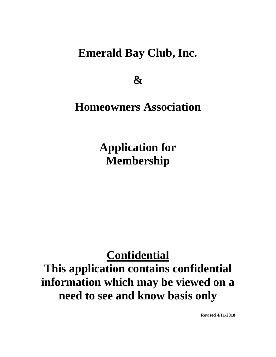# **Emerald Bay Club, Inc.**

**&**

# **Homeowners Association**

**Application for Membership**

# **Confidential This application contains confidential information which may be viewed on a need to see and know basis only**

**Revised 4/11/2018**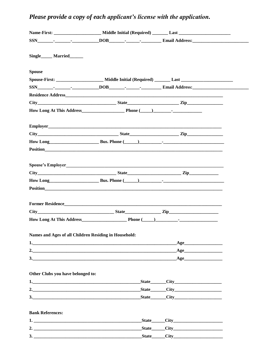## Please provide a copy of each applicant's license with the application.

|                                                       | SSN Property Contains Tool DOB Property Contains Tool Buildings and Address: |                     |  |
|-------------------------------------------------------|------------------------------------------------------------------------------|---------------------|--|
|                                                       |                                                                              |                     |  |
| Single Married                                        |                                                                              |                     |  |
|                                                       |                                                                              |                     |  |
| <b>Spouse</b>                                         |                                                                              |                     |  |
|                                                       |                                                                              |                     |  |
|                                                       |                                                                              |                     |  |
|                                                       |                                                                              |                     |  |
|                                                       |                                                                              |                     |  |
|                                                       |                                                                              |                     |  |
|                                                       |                                                                              |                     |  |
|                                                       |                                                                              |                     |  |
|                                                       |                                                                              |                     |  |
|                                                       |                                                                              |                     |  |
|                                                       |                                                                              |                     |  |
|                                                       |                                                                              |                     |  |
|                                                       |                                                                              |                     |  |
|                                                       | How Long Bus. Phone (Campbell 2014)                                          |                     |  |
|                                                       | <b>Position</b>                                                              |                     |  |
|                                                       |                                                                              |                     |  |
|                                                       |                                                                              |                     |  |
|                                                       |                                                                              |                     |  |
|                                                       |                                                                              |                     |  |
|                                                       |                                                                              |                     |  |
| Names and Ages of all Children Residing in Household: |                                                                              |                     |  |
|                                                       |                                                                              | Age                 |  |
|                                                       |                                                                              | Age                 |  |
|                                                       |                                                                              | Age                 |  |
|                                                       |                                                                              |                     |  |
| Other Clubs you have belonged to:                     |                                                                              |                     |  |
|                                                       |                                                                              | State City          |  |
|                                                       |                                                                              |                     |  |
|                                                       |                                                                              |                     |  |
|                                                       |                                                                              |                     |  |
| <b>Bank References:</b>                               |                                                                              |                     |  |
| 1.                                                    |                                                                              | $State$ $City$ $()$ |  |
|                                                       |                                                                              |                     |  |

| -<br>-                             |  |  |
|------------------------------------|--|--|
| -<br>٠<br>$\overline{\phantom{a}}$ |  |  |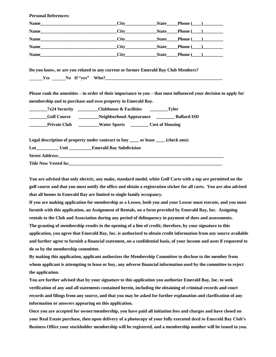**Personal References:**

| Name        |  | $_ \textbf{State} \_\textbf{Phone} \, (\_\_\textbf{1}) \_\textbf{1}$ |
|-------------|--|----------------------------------------------------------------------|
| Name        |  | State Phone ()                                                       |
| Name        |  | State Phone ()                                                       |
| <b>Name</b> |  | State Phone ()                                                       |
| <b>Name</b> |  | $State$ Phone $(\_)$                                                 |

**Do you know, or are you related to any current or former Emerald Bay Club Members? \_\_\_\_\_\_Yes \_\_\_\_\_\_No If "yes" Who?\_\_\_\_\_\_\_\_\_\_\_\_\_\_\_\_\_\_\_\_\_\_\_\_\_\_\_\_\_\_\_\_\_\_\_\_\_\_\_\_\_\_\_\_\_\_\_\_\_\_\_\_**

**Please rank the amenities – in order of their importance to you – that most influenced your decision to apply for membership and to purchase and own property in Emerald Bay.**

| <b>7x24 Security</b> | <b>Clubhouse &amp; Facilities</b> | Tyler                  |
|----------------------|-----------------------------------|------------------------|
| <b>Golf Course</b>   | Neighborhood Appearance           | <b>Bullard ISD</b>     |
| <b>Private Club</b>  | <b>Water Sports</b>               | <b>Cost of Housing</b> |

**Legal description of property under contract to buy \_\_\_\_ or lease \_\_\_\_ (check one):**

**Lot\_\_\_\_\_\_\_\_\_\_ Unit \_\_\_\_\_\_\_\_\_\_Emerald Bay Subdivision**

**Street Address:\_\_\_\_\_\_\_\_\_\_\_\_\_\_\_\_\_\_\_\_\_\_\_\_\_\_\_\_\_\_\_\_\_\_\_\_\_\_\_\_\_\_\_\_\_\_\_\_\_\_\_\_\_\_\_\_\_\_\_\_\_\_\_\_\_\_\_\_\_\_\_\_\_**

**Title Now Vested In:\_\_\_\_\_\_\_\_\_\_\_\_\_\_\_\_\_\_\_\_\_\_\_\_\_\_\_\_\_\_\_\_\_\_\_\_\_\_\_\_\_\_\_\_\_\_\_\_\_\_\_\_\_\_\_\_\_\_\_\_\_\_\_\_\_\_\_\_**

**You are advised that only electric, any make, standard model, white Golf Carts with a top are permitted on the golf course and that you must notify the office and obtain a registration sticker for all carts. You are also advised that all homes in Emerald Bay are limited to single family occupancy.**

**If you are making application for membership as a Lessee, both you and your Lessor must execute, and you must furnish with this application, an Assignment of Rentals, on a form provided by Emerald Bay, Inc. Assigning rentals to the Club and Association during any period of delinquency in payment of dues and assessments. The granting of membership results in the opening of a line of credit; therefore, by your signature to this application, you agree that Emerald Bay, Inc. is authorized to obtain credit information from any source available and further agree to furnish a financial statement, on a confidential basis, of your income and assts if requested to do so by the membership committee.**

**By making this application, applicant authorizes the Membership Committee to disclose to the member from whom applicant is attempting to lease or buy, any adverse financial information used by the committee to reject the application.**

**You are further advised that by your signature to this application you authorize Emerald Bay, Inc. to seek verification of any and all statements contained herein, including the obtaining of criminal records and court records and filings from any source, and that you may be asked for further explanation and clarification of any information or answers appearing on this application.**

**Once you are accepted for owner/membership, you have paid all initiation fees and charges and have closed on your Real Estate purchase, then upon delivery of a photocopy of your fully executed deed to Emerald Bay Club's Business Office your stockholder membership will be registered, and a membership number will be issued to you.**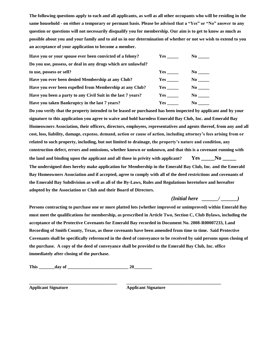**The following questions apply to each and all applicants, as well as all other occupants who will be residing in the same household - on either a temporary or permant basis. Please be advised that a "Yes" or "No" answer to any question or questions will not necessarily disqualify you for membership. Our aim is to get to know as much as possible about you and your family and to aid us in our determination of whether or not we wish to extend to you an acceptance of your application to become a member.**

| Have you or your spouse ever been convicted of a felony?      | Yes | No l      |
|---------------------------------------------------------------|-----|-----------|
| Do you use, possess, or deal in any drugs which are unlawful? |     |           |
| to use, possess or sell?                                      | Yes | $\bf No$  |
| Have you ever been denied Membership at any Club?             | Yes | $\bf{No}$ |
| Have you ever been expelled from Membership at any Club?      | Yes | $\bf{No}$ |
| Have you been a party to any Civil Suit in the last 7 years?  | Yes | $\bf No$  |
| Have you taken Bankruptcy in the last 7 years?                | Yes | No -      |

**Do you verify that the property intended to be leased or purchased has been inspected by applicant and by your signature to this application you agree to waive and hold harmless Emerald Bay Club, Inc. and Emerald Bay Homeowners Association, their officers, directors, employees, representatives and agents thereof, from any and all cost, loss, liability, damage, expense, demand, action or cause of action, including attorney's fees arising from or related to such property, including, but not limited to drainage, the property's nature and condition, any construction defect, errors and omissions, whether known or unknown, and that this is a covenant running with the land and binding upon the applicant and all those in privity with applicant? Yes \_\_\_\_\_No \_\_\_\_\_ The undersigned does hereby make application for Membership in the Emerald Bay Club, Inc. and the Emerald Bay Homeowners Association and if accepted, agree to comply with all of the deed restrictions and covenants of the Emerald Bay Subdivision as well as all of the By-Laws, Rules and Regulations heretofore and hereafter adopted by the Association or Club and their Board of Directors.** 

#### *(Initial here \_\_\_\_\_\_/ \_\_\_\_\_\_)*

**Persons contracting to purchase one or more platted lots (whether improved or unimproved) within Emerald Bay must meet the qualifications for membership, as prescribed in Article Two, Section C, Club Bylaws, including the acceptance of the Protective Covenants for Emerald Bay recorded in Document No. 2008-R00007233, Land Recording of Smith County, Texas, as those covenants have been amended from time to time. Said Protective Covenants shall be specifically referenced in the deed of conveyance to be received by said persons upon closing of the purchase. A copy of the deed of conveyance shall be provided to the Emerald Bay Club, Inc. office immediately after closing of the purchase.**

**This \_\_\_\_\_\_\_day of \_\_\_\_\_\_\_\_\_\_\_\_\_\_\_\_\_\_\_\_\_\_\_\_\_\_\_ 20\_\_\_\_\_\_\_\_**

**Applicant Signature Applicant Signature**

**\_\_\_\_\_\_\_\_\_\_\_\_\_\_\_\_\_\_\_\_\_\_\_\_\_\_\_\_\_\_\_\_\_\_\_\_\_\_\_ \_\_\_\_\_\_\_\_\_\_\_\_\_\_\_\_\_\_\_\_\_\_\_\_\_\_\_\_\_\_\_\_\_\_\_\_\_\_\_\_\_\_**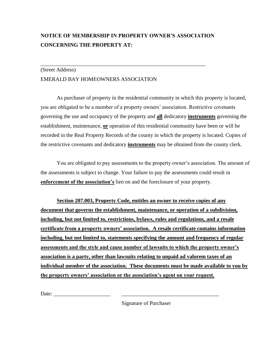### **NOTICE OF MEMBERSHIP IN PROPERTY OWNER'S ASSOCIATION CONCERNING THE PROPERTY AT:**

\_\_\_\_\_\_\_\_\_\_\_\_\_\_\_\_\_\_\_\_\_\_\_\_\_\_\_\_\_\_\_\_\_\_\_\_\_\_\_\_\_\_\_\_\_\_\_\_\_\_\_\_\_\_\_\_\_\_\_\_\_

#### (Street Address) EMERALD BAY HOMEOWNERS ASSOCIATION

As purchaser of property in the residential community in which this property is located, you are obligated to be a member of a property owners' association. Restrictive covenants governing the use and occupancy of the property and **all** dedicatory **instruments** governing the establishment, maintenance, **or** operation of this residential community have been or will be recorded in the Real Property Records of the county in which the property is located. Copies of the restrictive covenants and dedicatory **instruments** may be obtained from the county clerk.

You are obligated to pay assessments to the property owner's association. The amount of the assessments is subject to change. Your failure to pay the assessments could result in **enforcement of the association's** lien on and the foreclosure of your property.

**Section 207.003, Property Code, entitles an owner to receive copies of any document that governs the establishment, maintenance, or operation of a subdivision, including, but not limited to, restrictions, bylaws, rules and regulations, and a resale certificate from a property owners' association. A resale certificate contains information including, but not limited to, statements specifying the amount and frequency of regular assessments and the style and cause number of lawsuits to which the property owner's association is a party, other than lawsuits relating to unpaid ad valorem taxes of an individual member of the association. These documents must be made available to you by the property owners' association or the association's agent on your request.**

Date:

Signature of Purchaser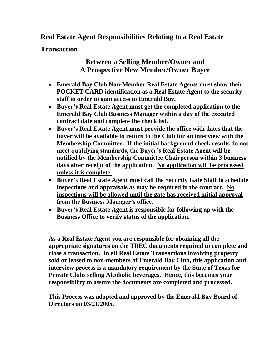### **Real Estate Agent Responsibilities Relating to a Real Estate**

**Transaction**

## **Between a Selling Member/Owner and A Prospective New Member/Owner Buyer**

- **Emerald Bay Club Non-Member Real Estate Agents must show their POCKET CARD identification as a Real Estate Agent to the security staff in order to gain access to Emerald Bay.**
- **Buyer's Real Estate Agent must get the completed application to the Emerald Bay Club Business Manager within a day of the executed contract date and complete the check list.**
- **Buyer's Real Estate Agent must provide the office with dates that the buyer will be available to return to the Club for an interview with the Membership Committee. If the initial background check results do not meet qualifying standards, the Buyer's Real Estate Agent will be notified by the Membership Committee Chairperson within 3 business days after receipt of the application. No application will be processed unless it is complete.**
- **Buyer's Real Estate Agent must call the Security Gate Staff to schedule inspections and appraisals as may be required in the contract**. **No inspections will be allowed until the gate has received initial approval from the Business Manager's office.**
- **Buyer's Real Estate Agent is responsible for following up with the Business Office to verify status of the application.**

**As a Real Estate Agent you are responsible for obtaining all the appropriate signatures on the TREC documents required to complete and close a transaction. In all Real Estate Transactions involving property sold or leased to non-members of Emerald Bay Club, this application and interview process is a mandatory requirement by the State of Texas for Private Clubs selling Alcoholic beverages. Hence, this becomes your responsibility to assure the documents are completed and processed.**

**This Process was adopted and approved by the Emerald Bay Board of Directors on 03/21/2005.**